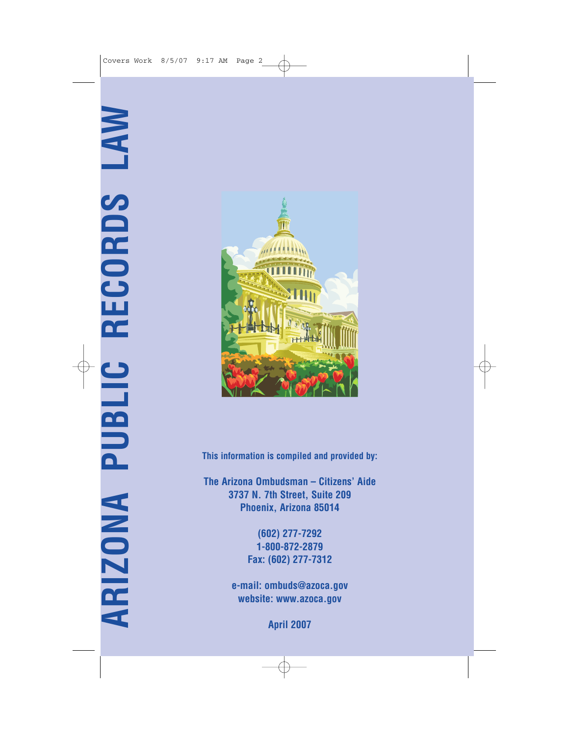

**This information is compiled and provided by:**

**The Arizona Ombudsman – Citizens' Aide 3737 N. 7th Street, Suite 209 Phoenix, Arizona 85014**

> **(602) 277-7292 1-800-872-2879 Fax: (602) 277-7312**

**e-mail: ombuds@azoca.gov website: www.azoca.gov**

**April 2007**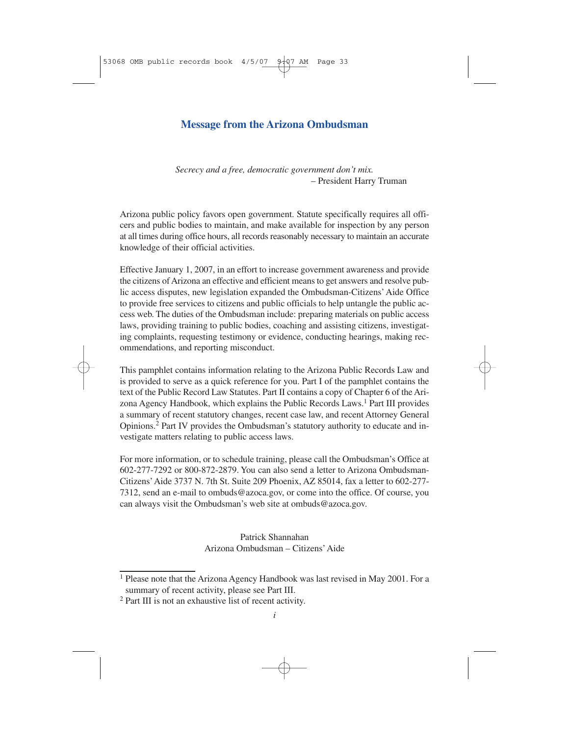## **Message from the Arizona Ombudsman**

*Secrecy and a free, democratic government don't mix.* – President Harry Truman

Arizona public policy favors open government. Statute specifically requires all officers and public bodies to maintain, and make available for inspection by any person at all times during office hours, all records reasonably necessary to maintain an accurate knowledge of their official activities.

Effective January 1, 2007, in an effort to increase government awareness and provide the citizens of Arizona an effective and efficient means to get answers and resolve public access disputes, new legislation expanded the Ombudsman-Citizens' Aide Office to provide free services to citizens and public officials to help untangle the public access web. The duties of the Ombudsman include: preparing materials on public access laws, providing training to public bodies, coaching and assisting citizens, investigating complaints, requesting testimony or evidence, conducting hearings, making recommendations, and reporting misconduct.

This pamphlet contains information relating to the Arizona Public Records Law and is provided to serve as a quick reference for you. Part I of the pamphlet contains the text of the Public Record Law Statutes. Part II contains a copy of Chapter 6 of the Arizona Agency Handbook, which explains the Public Records Laws.1 Part III provides a summary of recent statutory changes, recent case law, and recent Attorney General Opinions.2 Part IV provides the Ombudsman's statutory authority to educate and investigate matters relating to public access laws.

For more information, or to schedule training, please call the Ombudsman's Office at 602-277-7292 or 800-872-2879. You can also send a letter to Arizona Ombudsman-Citizens'Aide 3737 N. 7th St. Suite 209 Phoenix, AZ 85014, fax a letter to 602-277- 7312, send an e-mail to ombuds@azoca.gov, or come into the office. Of course, you can always visit the Ombudsman's web site at ombuds@azoca.gov.

> Patrick Shannahan Arizona Ombudsman – Citizens'Aide

<sup>&</sup>lt;sup>1</sup> Please note that the Arizona Agency Handbook was last revised in May 2001. For a summary of recent activity, please see Part III.

<sup>2</sup> Part III is not an exhaustive list of recent activity.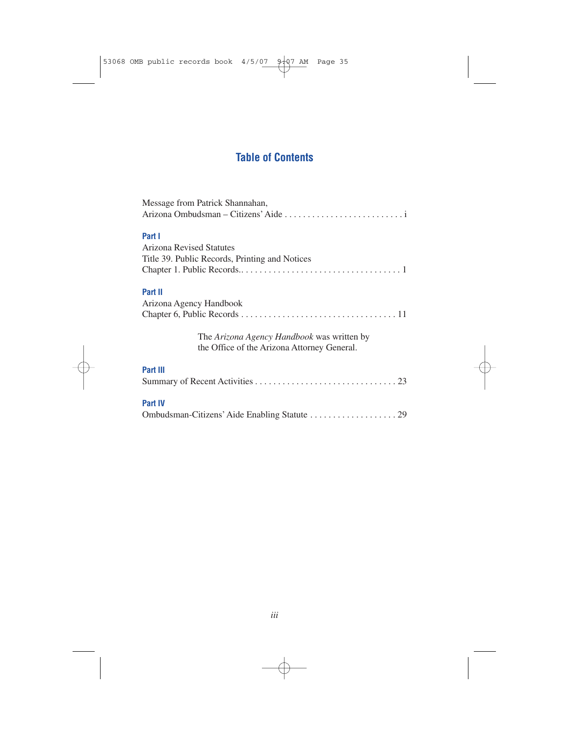## **Table of Contents**

| Message from Patrick Shannahan,                                                                  |
|--------------------------------------------------------------------------------------------------|
|                                                                                                  |
|                                                                                                  |
| Part I                                                                                           |
| Arizona Revised Statutes                                                                         |
| Title 39. Public Records, Printing and Notices                                                   |
|                                                                                                  |
| Part II                                                                                          |
| Arizona Agency Handbook                                                                          |
|                                                                                                  |
|                                                                                                  |
| The <i>Arizona Agency Handbook</i> was written by<br>the Office of the Arizona Attorney General. |
| Part III                                                                                         |
|                                                                                                  |
| <b>Part IV</b>                                                                                   |
|                                                                                                  |
|                                                                                                  |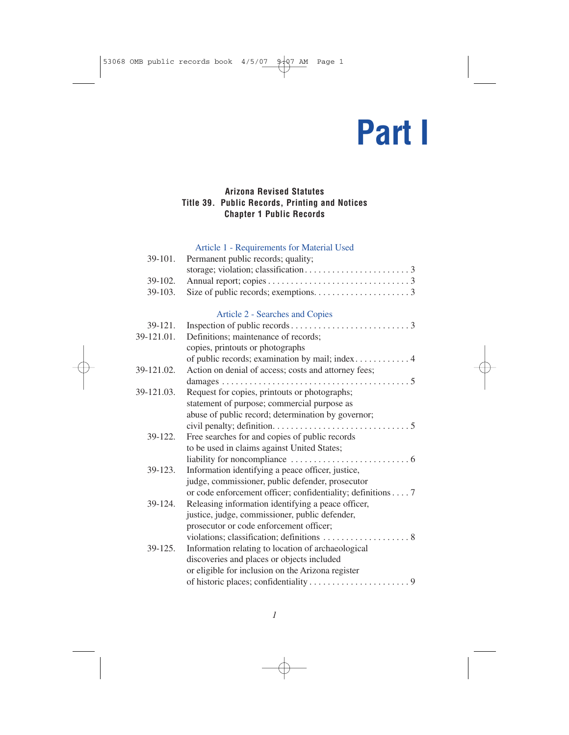## **Part I**

## **Arizona Revised Statutes Title 39. Public Records, Printing and Notices Chapter 1 Public Records**

## Article 1 - Requirements for Material Used

| 39-101. Permanent public records; quality; |
|--------------------------------------------|
|                                            |
|                                            |
|                                            |
|                                            |

## Article 2 - Searches and Copies

|            | $\frac{1}{2}$ bearence and $\frac{1}{2}$                    |
|------------|-------------------------------------------------------------|
| 39-121.    |                                                             |
| 39-121.01. | Definitions; maintenance of records;                        |
|            | copies, printouts or photographs                            |
|            |                                                             |
| 39-121.02. | Action on denial of access; costs and attorney fees;        |
|            |                                                             |
| 39-121.03. | Request for copies, printouts or photographs;               |
|            | statement of purpose; commercial purpose as                 |
|            | abuse of public record; determination by governor;          |
|            |                                                             |
| 39-122.    | Free searches for and copies of public records              |
|            | to be used in claims against United States;                 |
|            |                                                             |
| $39-123.$  | Information identifying a peace officer, justice,           |
|            | judge, commissioner, public defender, prosecutor            |
|            | or code enforcement officer; confidentiality; definitions 7 |
| $39-124.$  | Releasing information identifying a peace officer,          |
|            | justice, judge, commissioner, public defender,              |
|            | prosecutor or code enforcement officer;                     |
|            |                                                             |
| $39-125.$  | Information relating to location of archaeological          |
|            | discoveries and places or objects included                  |
|            | or eligible for inclusion on the Arizona register           |
|            |                                                             |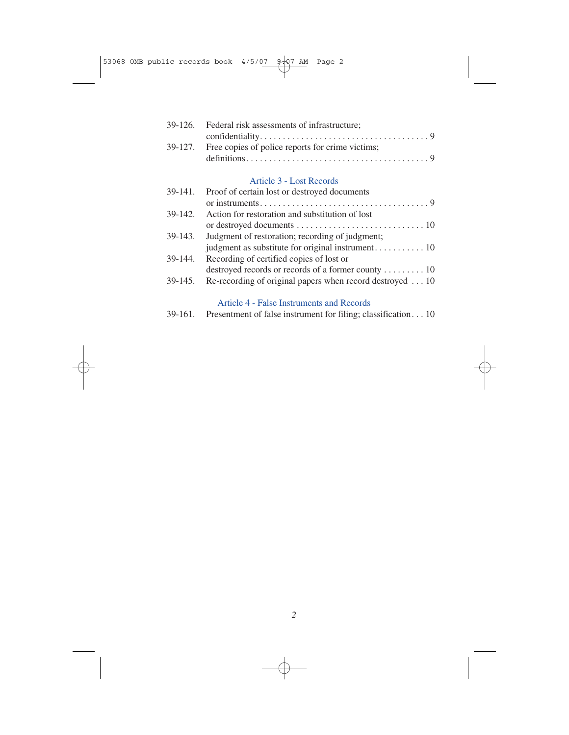| 39-126. Federal risk assessments of infrastructure;      |
|----------------------------------------------------------|
|                                                          |
| 39-127. Free copies of police reports for crime victims; |
|                                                          |

## Article 3 - Lost Records

| 39-141. | Proof of certain lost or destroyed documents             |
|---------|----------------------------------------------------------|
|         |                                                          |
| 39-142. | Action for restoration and substitution of lost          |
|         |                                                          |
| 39-143. | Judgment of restoration; recording of judgment;          |
|         |                                                          |
| 39-144. | Recording of certified copies of lost or                 |
|         | destroyed records or records of a former county  10      |
| 39-145. | Re-recording of original papers when record destroyed 10 |
|         |                                                          |

## Article 4 - False Instruments and Records

| 39-161.<br>Presentment of false instrument for filing; classification10 |  |  |  |  |
|-------------------------------------------------------------------------|--|--|--|--|
|-------------------------------------------------------------------------|--|--|--|--|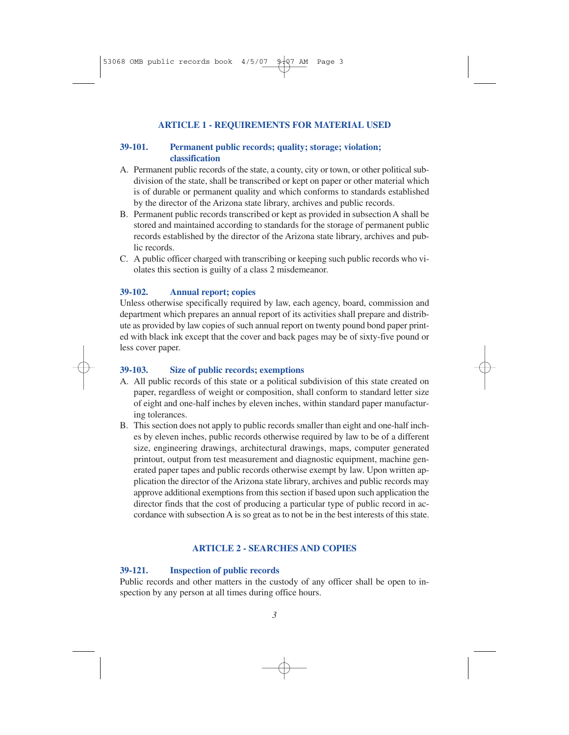### **ARTICLE 1 - REQUIREMENTS FOR MATERIAL USED**

### **39-101. Permanent public records; quality; storage; violation; classification**

- A. Permanent public records of the state, a county, city or town, or other political subdivision of the state, shall be transcribed or kept on paper or other material which is of durable or permanent quality and which conforms to standards established by the director of the Arizona state library, archives and public records.
- B. Permanent public records transcribed or kept as provided in subsection A shall be stored and maintained according to standards for the storage of permanent public records established by the director of the Arizona state library, archives and public records.
- C. A public officer charged with transcribing or keeping such public records who violates this section is guilty of a class 2 misdemeanor.

### **39-102. Annual report; copies**

Unless otherwise specifically required by law, each agency, board, commission and department which prepares an annual report of its activities shall prepare and distribute as provided by law copies of such annual report on twenty pound bond paper printed with black ink except that the cover and back pages may be of sixty-five pound or less cover paper.

### **39-103. Size of public records; exemptions**

- A. All public records of this state or a political subdivision of this state created on paper, regardless of weight or composition, shall conform to standard letter size of eight and one-half inches by eleven inches, within standard paper manufacturing tolerances.
- B. This section does not apply to public records smaller than eight and one-half inches by eleven inches, public records otherwise required by law to be of a different size, engineering drawings, architectural drawings, maps, computer generated printout, output from test measurement and diagnostic equipment, machine generated paper tapes and public records otherwise exempt by law. Upon written application the director of the Arizona state library, archives and public records may approve additional exemptions from this section if based upon such application the director finds that the cost of producing a particular type of public record in accordance with subsection A is so great as to not be in the best interests of this state.

### **ARTICLE 2 - SEARCHES AND COPIES**

### **39-121. Inspection of public records**

Public records and other matters in the custody of any officer shall be open to inspection by any person at all times during office hours.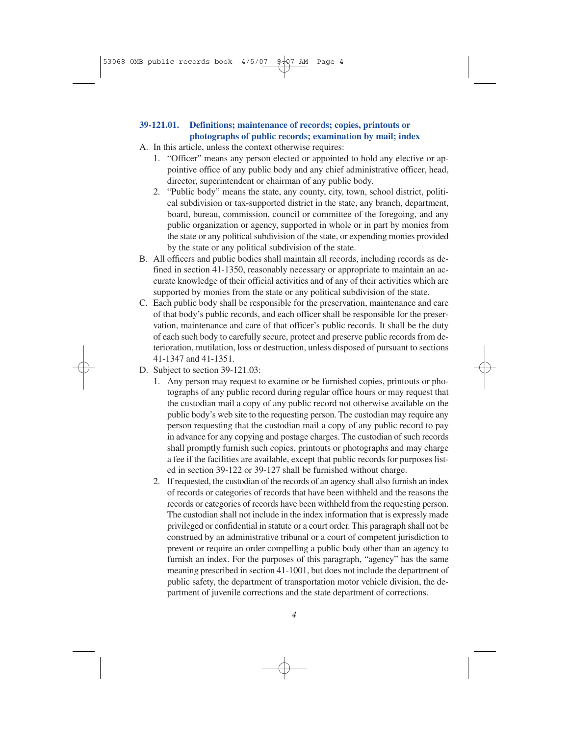### **39-121.01. Definitions; maintenance of records; copies, printouts or photographs of public records; examination by mail; index**

- A. In this article, unless the context otherwise requires:
	- 1. "Officer" means any person elected or appointed to hold any elective or appointive office of any public body and any chief administrative officer, head, director, superintendent or chairman of any public body.
	- 2. "Public body" means the state, any county, city, town, school district, political subdivision or tax-supported district in the state, any branch, department, board, bureau, commission, council or committee of the foregoing, and any public organization or agency, supported in whole or in part by monies from the state or any political subdivision of the state, or expending monies provided by the state or any political subdivision of the state.
- B. All officers and public bodies shall maintain all records, including records as defined in section 41-1350, reasonably necessary or appropriate to maintain an accurate knowledge of their official activities and of any of their activities which are supported by monies from the state or any political subdivision of the state.
- C. Each public body shall be responsible for the preservation, maintenance and care of that body's public records, and each officer shall be responsible for the preservation, maintenance and care of that officer's public records. It shall be the duty of each such body to carefully secure, protect and preserve public records from deterioration, mutilation, loss or destruction, unless disposed of pursuant to sections 41-1347 and 41-1351.
- D. Subject to section 39-121.03:
	- 1. Any person may request to examine or be furnished copies, printouts or photographs of any public record during regular office hours or may request that the custodian mail a copy of any public record not otherwise available on the public body's web site to the requesting person. The custodian may require any person requesting that the custodian mail a copy of any public record to pay in advance for any copying and postage charges. The custodian of such records shall promptly furnish such copies, printouts or photographs and may charge a fee if the facilities are available, except that public records for purposes listed in section 39-122 or 39-127 shall be furnished without charge.
	- 2. If requested, the custodian of the records of an agency shall also furnish an index of records or categories of records that have been withheld and the reasons the records or categories of records have been withheld from the requesting person. The custodian shall not include in the index information that is expressly made privileged or confidential in statute or a court order. This paragraph shall not be construed by an administrative tribunal or a court of competent jurisdiction to prevent or require an order compelling a public body other than an agency to furnish an index. For the purposes of this paragraph, "agency" has the same meaning prescribed in section 41-1001, but does not include the department of public safety, the department of transportation motor vehicle division, the department of juvenile corrections and the state department of corrections.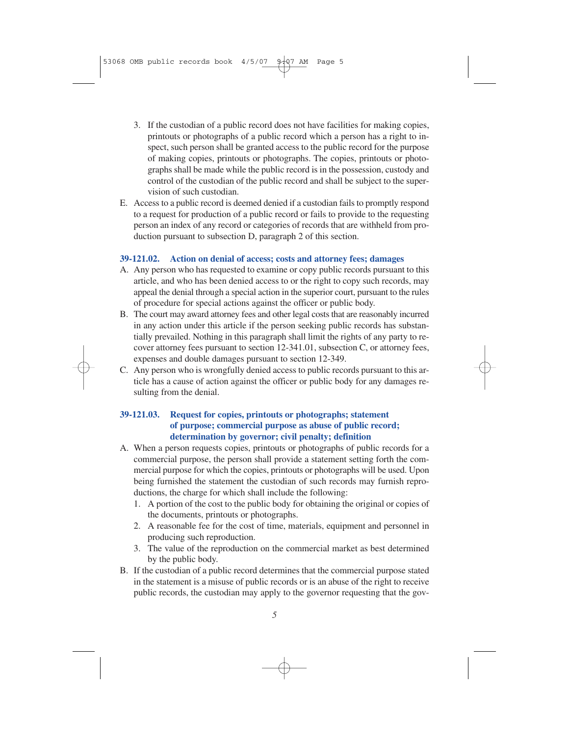- 3. If the custodian of a public record does not have facilities for making copies, printouts or photographs of a public record which a person has a right to inspect, such person shall be granted access to the public record for the purpose of making copies, printouts or photographs. The copies, printouts or photographs shall be made while the public record is in the possession, custody and control of the custodian of the public record and shall be subject to the supervision of such custodian.
- E. Access to a public record is deemed denied if a custodian fails to promptly respond to a request for production of a public record or fails to provide to the requesting person an index of any record or categories of records that are withheld from production pursuant to subsection D, paragraph 2 of this section.

## **39-121.02. Action on denial of access; costs and attorney fees; damages**

- A. Any person who has requested to examine or copy public records pursuant to this article, and who has been denied access to or the right to copy such records, may appeal the denial through a special action in the superior court, pursuant to the rules of procedure for special actions against the officer or public body.
- B. The court may award attorney fees and other legal costs that are reasonably incurred in any action under this article if the person seeking public records has substantially prevailed. Nothing in this paragraph shall limit the rights of any party to recover attorney fees pursuant to section 12-341.01, subsection C, or attorney fees, expenses and double damages pursuant to section 12-349.
- C. Any person who is wrongfully denied access to public records pursuant to this article has a cause of action against the officer or public body for any damages resulting from the denial.

### **39-121.03. Request for copies, printouts or photographs; statement of purpose; commercial purpose as abuse of public record; determination by governor; civil penalty; definition**

- A. When a person requests copies, printouts or photographs of public records for a commercial purpose, the person shall provide a statement setting forth the commercial purpose for which the copies, printouts or photographs will be used. Upon being furnished the statement the custodian of such records may furnish reproductions, the charge for which shall include the following:
	- 1. A portion of the cost to the public body for obtaining the original or copies of the documents, printouts or photographs.
	- 2. A reasonable fee for the cost of time, materials, equipment and personnel in producing such reproduction.
	- 3. The value of the reproduction on the commercial market as best determined by the public body.
- B. If the custodian of a public record determines that the commercial purpose stated in the statement is a misuse of public records or is an abuse of the right to receive public records, the custodian may apply to the governor requesting that the gov-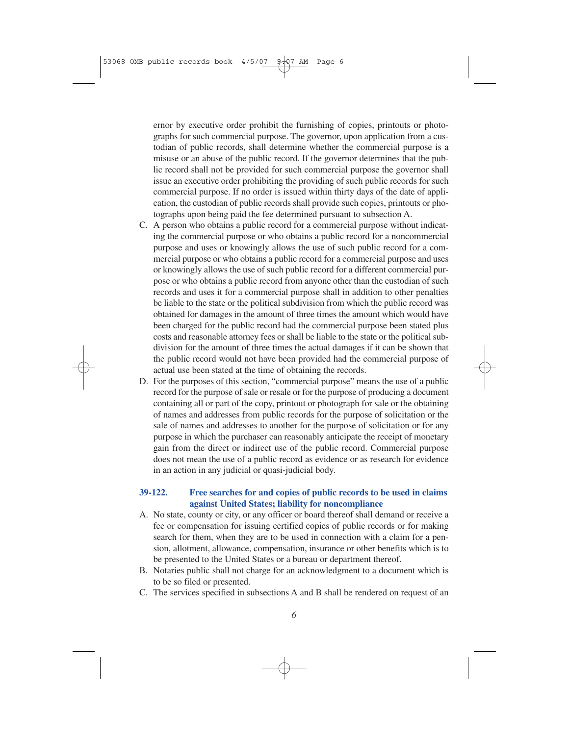ernor by executive order prohibit the furnishing of copies, printouts or photographs for such commercial purpose. The governor, upon application from a custodian of public records, shall determine whether the commercial purpose is a misuse or an abuse of the public record. If the governor determines that the public record shall not be provided for such commercial purpose the governor shall issue an executive order prohibiting the providing of such public records for such commercial purpose. If no order is issued within thirty days of the date of application, the custodian of public records shall provide such copies, printouts or photographs upon being paid the fee determined pursuant to subsection A.

- C. A person who obtains a public record for a commercial purpose without indicating the commercial purpose or who obtains a public record for a noncommercial purpose and uses or knowingly allows the use of such public record for a commercial purpose or who obtains a public record for a commercial purpose and uses or knowingly allows the use of such public record for a different commercial purpose or who obtains a public record from anyone other than the custodian of such records and uses it for a commercial purpose shall in addition to other penalties be liable to the state or the political subdivision from which the public record was obtained for damages in the amount of three times the amount which would have been charged for the public record had the commercial purpose been stated plus costs and reasonable attorney fees or shall be liable to the state or the political subdivision for the amount of three times the actual damages if it can be shown that the public record would not have been provided had the commercial purpose of actual use been stated at the time of obtaining the records.
- D. For the purposes of this section, "commercial purpose" means the use of a public record for the purpose of sale or resale or for the purpose of producing a document containing all or part of the copy, printout or photograph for sale or the obtaining of names and addresses from public records for the purpose of solicitation or the sale of names and addresses to another for the purpose of solicitation or for any purpose in which the purchaser can reasonably anticipate the receipt of monetary gain from the direct or indirect use of the public record. Commercial purpose does not mean the use of a public record as evidence or as research for evidence in an action in any judicial or quasi-judicial body.

### **39-122. Free searches for and copies of public records to be used in claims against United States; liability for noncompliance**

- A. No state, county or city, or any officer or board thereof shall demand or receive a fee or compensation for issuing certified copies of public records or for making search for them, when they are to be used in connection with a claim for a pension, allotment, allowance, compensation, insurance or other benefits which is to be presented to the United States or a bureau or department thereof.
- B. Notaries public shall not charge for an acknowledgment to a document which is to be so filed or presented.
- C. The services specified in subsections A and B shall be rendered on request of an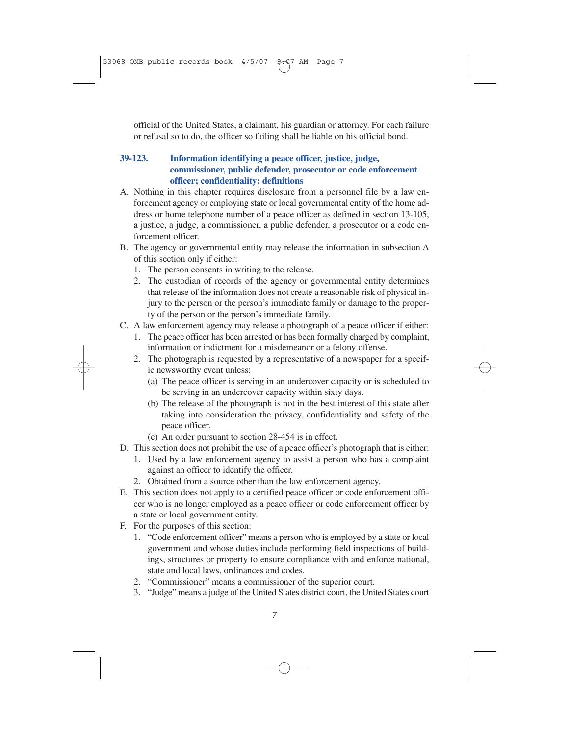official of the United States, a claimant, his guardian or attorney. For each failure or refusal so to do, the officer so failing shall be liable on his official bond.

## **39-123. Information identifying a peace officer, justice, judge, commissioner, public defender, prosecutor or code enforcement officer; confidentiality; definitions**

- A. Nothing in this chapter requires disclosure from a personnel file by a law enforcement agency or employing state or local governmental entity of the home address or home telephone number of a peace officer as defined in section 13-105, a justice, a judge, a commissioner, a public defender, a prosecutor or a code enforcement officer.
- B. The agency or governmental entity may release the information in subsection A of this section only if either:
	- 1. The person consents in writing to the release.
	- 2. The custodian of records of the agency or governmental entity determines that release of the information does not create a reasonable risk of physical injury to the person or the person's immediate family or damage to the property of the person or the person's immediate family.
- C. A law enforcement agency may release a photograph of a peace officer if either:
	- 1. The peace officer has been arrested or has been formally charged by complaint, information or indictment for a misdemeanor or a felony offense.
	- 2. The photograph is requested by a representative of a newspaper for a specific newsworthy event unless:
		- (a) The peace officer is serving in an undercover capacity or is scheduled to be serving in an undercover capacity within sixty days.
		- (b) The release of the photograph is not in the best interest of this state after taking into consideration the privacy, confidentiality and safety of the peace officer.
		- (c) An order pursuant to section 28-454 is in effect.
- D. This section does not prohibit the use of a peace officer's photograph that is either:
	- 1. Used by a law enforcement agency to assist a person who has a complaint against an officer to identify the officer.
	- 2. Obtained from a source other than the law enforcement agency.
- E. This section does not apply to a certified peace officer or code enforcement officer who is no longer employed as a peace officer or code enforcement officer by a state or local government entity.
- F. For the purposes of this section:
	- 1. "Code enforcement officer" means a person who is employed by a state or local government and whose duties include performing field inspections of buildings, structures or property to ensure compliance with and enforce national, state and local laws, ordinances and codes.
	- 2. "Commissioner" means a commissioner of the superior court.
	- 3. "Judge" means a judge of the United States district court, the United States court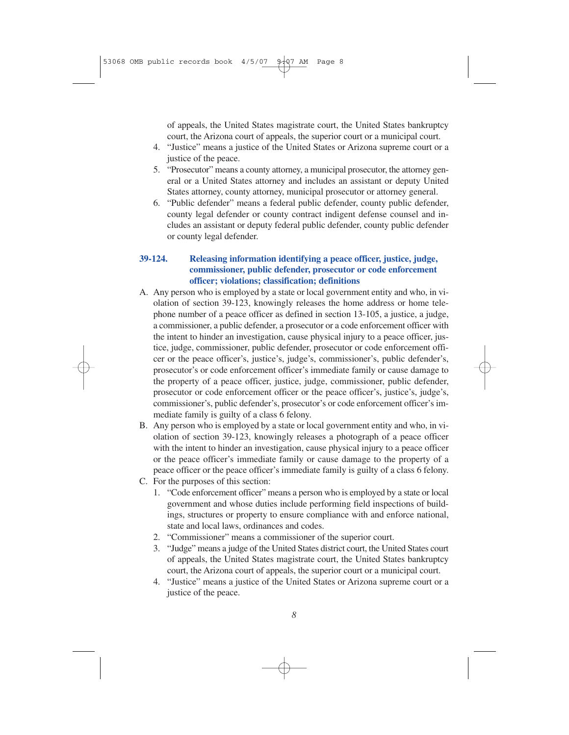of appeals, the United States magistrate court, the United States bankruptcy court, the Arizona court of appeals, the superior court or a municipal court.

- 4. "Justice" means a justice of the United States or Arizona supreme court or a justice of the peace.
- 5. "Prosecutor" means a county attorney, a municipal prosecutor, the attorney general or a United States attorney and includes an assistant or deputy United States attorney, county attorney, municipal prosecutor or attorney general.
- 6. "Public defender" means a federal public defender, county public defender, county legal defender or county contract indigent defense counsel and includes an assistant or deputy federal public defender, county public defender or county legal defender.

## **39-124. Releasing information identifying a peace officer, justice, judge, commissioner, public defender, prosecutor or code enforcement officer; violations; classification; definitions**

- A. Any person who is employed by a state or local government entity and who, in violation of section 39-123, knowingly releases the home address or home telephone number of a peace officer as defined in section 13-105, a justice, a judge, a commissioner, a public defender, a prosecutor or a code enforcement officer with the intent to hinder an investigation, cause physical injury to a peace officer, justice, judge, commissioner, public defender, prosecutor or code enforcement officer or the peace officer's, justice's, judge's, commissioner's, public defender's, prosecutor's or code enforcement officer's immediate family or cause damage to the property of a peace officer, justice, judge, commissioner, public defender, prosecutor or code enforcement officer or the peace officer's, justice's, judge's, commissioner's, public defender's, prosecutor's or code enforcement officer's immediate family is guilty of a class 6 felony.
- B. Any person who is employed by a state or local government entity and who, in violation of section 39-123, knowingly releases a photograph of a peace officer with the intent to hinder an investigation, cause physical injury to a peace officer or the peace officer's immediate family or cause damage to the property of a peace officer or the peace officer's immediate family is guilty of a class 6 felony.
- C. For the purposes of this section:
	- 1. "Code enforcement officer" means a person who is employed by a state or local government and whose duties include performing field inspections of buildings, structures or property to ensure compliance with and enforce national, state and local laws, ordinances and codes.
	- 2. "Commissioner" means a commissioner of the superior court.
	- 3. "Judge" means a judge of the United States district court, the United States court of appeals, the United States magistrate court, the United States bankruptcy court, the Arizona court of appeals, the superior court or a municipal court.
	- 4. "Justice" means a justice of the United States or Arizona supreme court or a justice of the peace.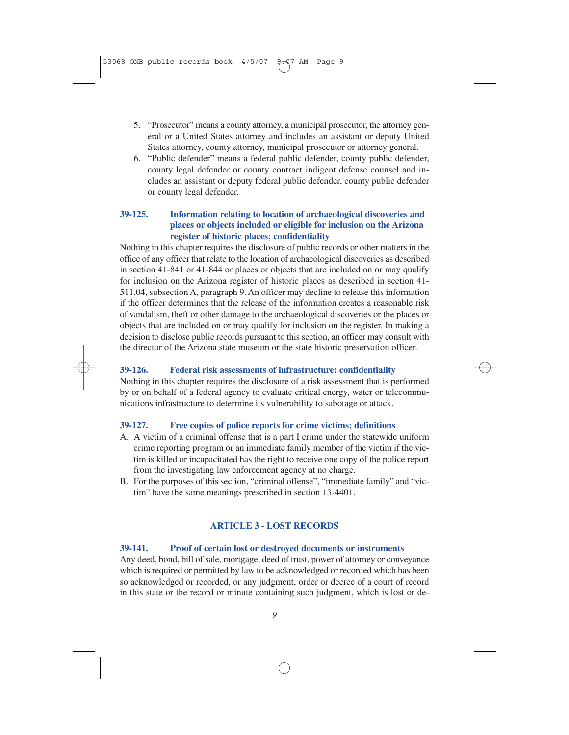- 5. "Prosecutor" means a county attorney, a municipal prosecutor, the attorney general or a United States attorney and includes an assistant or deputy United States attorney, county attorney, municipal prosecutor or attorney general.
- 6. "Public defender" means a federal public defender, county public defender, county legal defender or county contract indigent defense counsel and includes an assistant or deputy federal public defender, county public defender or county legal defender.

### **39-125. Information relating to location of archaeological discoveries and places or objects included or eligible for inclusion on the Arizona register of historic places; confidentiality**

Nothing in this chapter requires the disclosure of public records or other matters in the office of any officer that relate to the location of archaeological discoveries as described in section 41-841 or 41-844 or places or objects that are included on or may qualify for inclusion on the Arizona register of historic places as described in section 41- 511.04, subsection A, paragraph 9. An officer may decline to release this information if the officer determines that the release of the information creates a reasonable risk of vandalism, theft or other damage to the archaeological discoveries or the places or objects that are included on or may qualify for inclusion on the register. In making a decision to disclose public records pursuant to this section, an officer may consult with the director of the Arizona state museum or the state historic preservation officer.

### **39-126. Federal risk assessments of infrastructure; confidentiality**

Nothing in this chapter requires the disclosure of a risk assessment that is performed by or on behalf of a federal agency to evaluate critical energy, water or telecommunications infrastructure to determine its vulnerability to sabotage or attack.

### **39-127. Free copies of police reports for crime victims; definitions**

- A. A victim of a criminal offense that is a part I crime under the statewide uniform crime reporting program or an immediate family member of the victim if the victim is killed or incapacitated has the right to receive one copy of the police report from the investigating law enforcement agency at no charge.
- B. For the purposes of this section, "criminal offense", "immediate family" and "victim" have the same meanings prescribed in section 13-4401.

## **ARTICLE 3 - LOST RECORDS**

### **39-141. Proof of certain lost or destroyed documents or instruments**

Any deed, bond, bill of sale, mortgage, deed of trust, power of attorney or conveyance which is required or permitted by law to be acknowledged or recorded which has been so acknowledged or recorded, or any judgment, order or decree of a court of record in this state or the record or minute containing such judgment, which is lost or de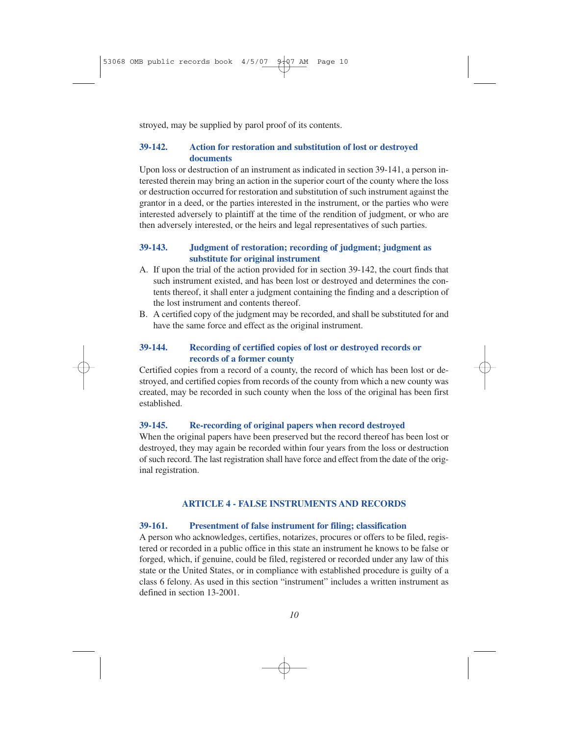stroyed, may be supplied by parol proof of its contents.

## **39-142. Action for restoration and substitution of lost or destroyed documents**

Upon loss or destruction of an instrument as indicated in section 39-141, a person interested therein may bring an action in the superior court of the county where the loss or destruction occurred for restoration and substitution of such instrument against the grantor in a deed, or the parties interested in the instrument, or the parties who were interested adversely to plaintiff at the time of the rendition of judgment, or who are then adversely interested, or the heirs and legal representatives of such parties.

## **39-143. Judgment of restoration; recording of judgment; judgment as substitute for original instrument**

- A. If upon the trial of the action provided for in section 39-142, the court finds that such instrument existed, and has been lost or destroyed and determines the contents thereof, it shall enter a judgment containing the finding and a description of the lost instrument and contents thereof.
- B. A certified copy of the judgment may be recorded, and shall be substituted for and have the same force and effect as the original instrument.

## **39-144. Recording of certified copies of lost or destroyed records or records of a former county**

Certified copies from a record of a county, the record of which has been lost or destroyed, and certified copies from records of the county from which a new county was created, may be recorded in such county when the loss of the original has been first established.

### **39-145. Re-recording of original papers when record destroyed**

When the original papers have been preserved but the record thereof has been lost or destroyed, they may again be recorded within four years from the loss or destruction of such record. The last registration shall have force and effect from the date of the original registration.

## **ARTICLE 4 - FALSE INSTRUMENTS AND RECORDS**

### **39-161. Presentment of false instrument for filing; classification**

A person who acknowledges, certifies, notarizes, procures or offers to be filed, registered or recorded in a public office in this state an instrument he knows to be false or forged, which, if genuine, could be filed, registered or recorded under any law of this state or the United States, or in compliance with established procedure is guilty of a class 6 felony. As used in this section "instrument" includes a written instrument as defined in section 13-2001.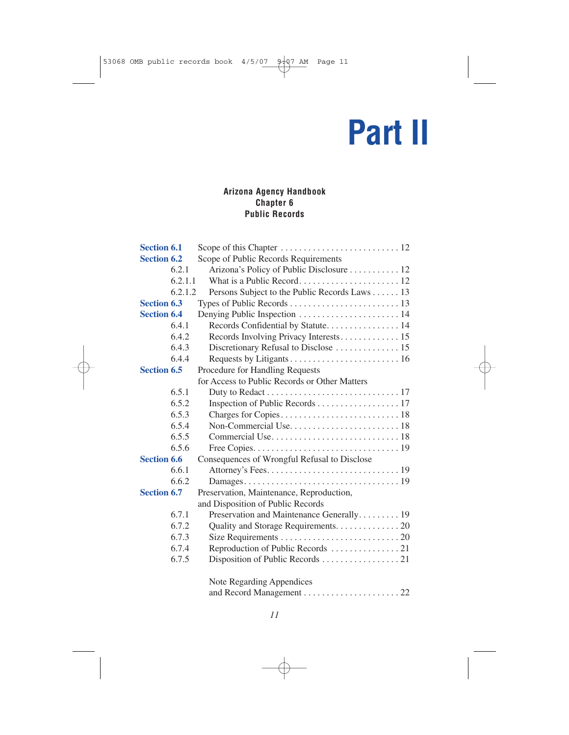# **Part II**

## **Arizona Agency Handbook Chapter 6 Public Records**

| <b>Section 6.1</b> |         |                                               |
|--------------------|---------|-----------------------------------------------|
| <b>Section 6.2</b> |         | Scope of Public Records Requirements          |
|                    | 6.2.1   | Arizona's Policy of Public Disclosure 12      |
|                    | 6.2.1.1 |                                               |
|                    | 6.2.1.2 | Persons Subject to the Public Records Laws 13 |
| <b>Section 6.3</b> |         |                                               |
| <b>Section 6.4</b> |         |                                               |
|                    | 6.4.1   | Records Confidential by Statute 14            |
|                    | 6.4.2   |                                               |
|                    | 6.4.3   |                                               |
|                    | 6.4.4   |                                               |
| <b>Section 6.5</b> |         | Procedure for Handling Requests               |
|                    |         | for Access to Public Records or Other Matters |
|                    | 6.5.1   |                                               |
|                    | 6.5.2   | Inspection of Public Records 17               |
|                    | 6.5.3   |                                               |
|                    | 6.5.4   |                                               |
|                    | 6.5.5   |                                               |
|                    | 6.5.6   |                                               |
| <b>Section 6.6</b> |         | Consequences of Wrongful Refusal to Disclose  |
|                    | 6.6.1   |                                               |
|                    | 6.6.2   |                                               |
| <b>Section 6.7</b> |         | Preservation, Maintenance, Reproduction,      |
|                    |         | and Disposition of Public Records             |
|                    | 6.7.1   | Preservation and Maintenance Generally 19     |
|                    | 6.7.2   | Quality and Storage Requirements. 20          |
|                    | 6.7.3   |                                               |
|                    | 6.7.4   |                                               |
|                    | 6.7.5   | Disposition of Public Records 21              |
|                    |         | Note Regarding Appendices                     |
|                    |         |                                               |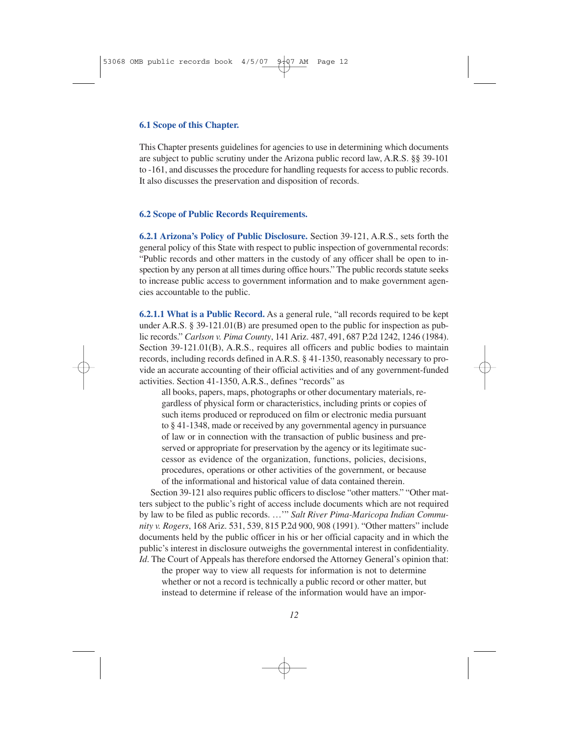#### **6.1 Scope of this Chapter.**

This Chapter presents guidelines for agencies to use in determining which documents are subject to public scrutiny under the Arizona public record law, A.R.S. §§ 39-101 to -161, and discusses the procedure for handling requests for access to public records. It also discusses the preservation and disposition of records.

#### **6.2 Scope of Public Records Requirements.**

**6.2.1 Arizona's Policy of Public Disclosure.** Section 39-121, A.R.S., sets forth the general policy of this State with respect to public inspection of governmental records: "Public records and other matters in the custody of any officer shall be open to inspection by any person at all times during office hours." The public records statute seeks to increase public access to government information and to make government agencies accountable to the public.

**6.2.1.1 What is a Public Record.** As a general rule, "all records required to be kept under A.R.S. § 39-121.01(B) are presumed open to the public for inspection as public records." *Carlson v. Pima County*, 141 Ariz. 487, 491, 687 P.2d 1242, 1246 (1984). Section 39-121.01(B), A.R.S., requires all officers and public bodies to maintain records, including records defined in A.R.S. § 41-1350, reasonably necessary to provide an accurate accounting of their official activities and of any government-funded activities. Section 41-1350, A.R.S., defines "records" as

all books, papers, maps, photographs or other documentary materials, regardless of physical form or characteristics, including prints or copies of such items produced or reproduced on film or electronic media pursuant to § 41-1348, made or received by any governmental agency in pursuance of law or in connection with the transaction of public business and preserved or appropriate for preservation by the agency or its legitimate successor as evidence of the organization, functions, policies, decisions, procedures, operations or other activities of the government, or because of the informational and historical value of data contained therein.

Section 39-121 also requires public officers to disclose "other matters." "Other matters subject to the public's right of access include documents which are not required by law to be filed as public records. …'" *Salt River Pima-Maricopa Indian Community v. Rogers*, 168 Ariz. 531, 539, 815 P.2d 900, 908 (1991). "Other matters" include documents held by the public officer in his or her official capacity and in which the public's interest in disclosure outweighs the governmental interest in confidentiality. *Id*. The Court of Appeals has therefore endorsed the Attorney General's opinion that:

the proper way to view all requests for information is not to determine whether or not a record is technically a public record or other matter, but instead to determine if release of the information would have an impor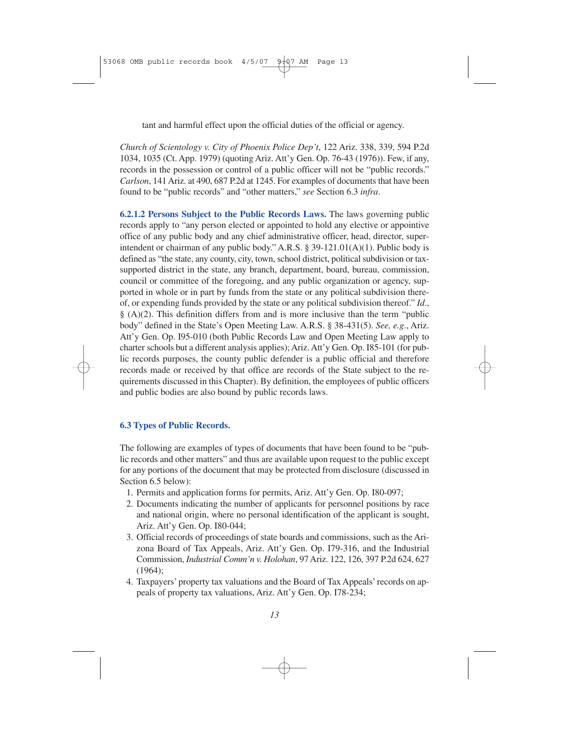tant and harmful effect upon the official duties of the official or agency.

*Church of Scientology v. City of Phoenix Police Dep't*, 122 Ariz. 338, 339, 594 P.2d 1034, 1035 (Ct. App. 1979) (quoting Ariz. Att'y Gen. Op. 76-43 (1976)). Few, if any, records in the possession or control of a public officer will not be "public records." *Carlson*, 141 Ariz. at 490, 687 P.2d at 1245. For examples of documents that have been found to be "public records" and "other matters," *see* Section 6.3 *infra*.

**6.2.1.2 Persons Subject to the Public Records Laws.** The laws governing public records apply to "any person elected or appointed to hold any elective or appointive office of any public body and any chief administrative officer, head, director, superintendent or chairman of any public body." A.R.S. § 39-121.01(A)(1). Public body is defined as "the state, any county, city, town, school district, political subdivision or taxsupported district in the state, any branch, department, board, bureau, commission, council or committee of the foregoing, and any public organization or agency, supported in whole or in part by funds from the state or any political subdivision thereof, or expending funds provided by the state or any political subdivision thereof." *Id*.,  $\S$  (A)(2). This definition differs from and is more inclusive than the term "public body" defined in the State's Open Meeting Law. A.R.S. § 38-431(5). *See, e.g*., Ariz. Att'y Gen. Op. I95-010 (both Public Records Law and Open Meeting Law apply to charter schools but a different analysis applies); Ariz. Att'y Gen. Op. I85-101 (for public records purposes, the county public defender is a public official and therefore records made or received by that office are records of the State subject to the requirements discussed in this Chapter). By definition, the employees of public officers and public bodies are also bound by public records laws.

### **6.3 Types of Public Records.**

The following are examples of types of documents that have been found to be "public records and other matters" and thus are available upon request to the public except for any portions of the document that may be protected from disclosure (discussed in Section 6.5 below):

- 1. Permits and application forms for permits, Ariz. Att'y Gen. Op. I80-097;
- 2. Documents indicating the number of applicants for personnel positions by race and national origin, where no personal identification of the applicant is sought, Ariz. Att'y Gen. Op. I80-044;
- 3. Official records of proceedings of state boards and commissions, such as the Arizona Board of Tax Appeals, Ariz. Att'y Gen. Op. I79-316, and the Industrial Commission, *Industrial Comm'n v. Holohan*, 97 Ariz. 122, 126, 397 P.2d 624, 627 (1964);
- 4. Taxpayers' property tax valuations and the Board of Tax Appeals' records on appeals of property tax valuations, Ariz. Att'y Gen. Op. I78-234;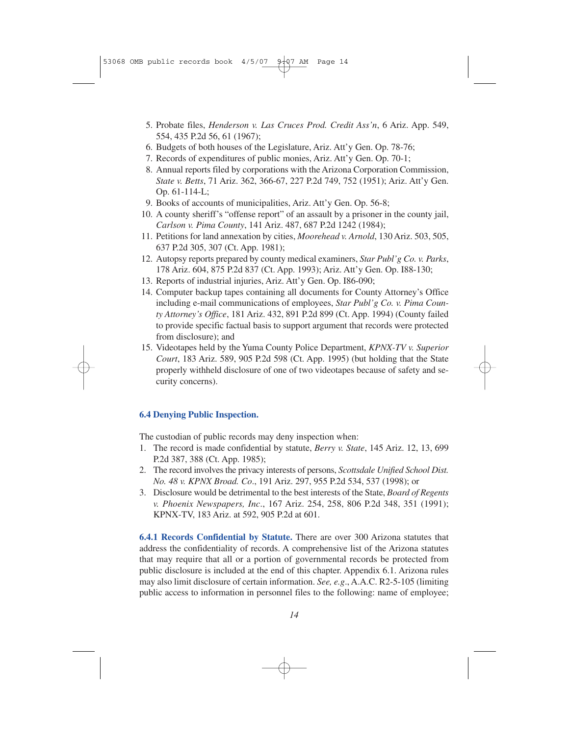- 5. Probate files, *Henderson v. Las Cruces Prod. Credit Ass'n*, 6 Ariz. App. 549, 554, 435 P.2d 56, 61 (1967);
- 6. Budgets of both houses of the Legislature, Ariz. Att'y Gen. Op. 78-76;
- 7. Records of expenditures of public monies, Ariz. Att'y Gen. Op. 70-1;
- 8. Annual reports filed by corporations with the Arizona Corporation Commission, *State v. Betts*, 71 Ariz. 362, 366-67, 227 P.2d 749, 752 (1951); Ariz. Att'y Gen. Op. 61-114-L;
- 9. Books of accounts of municipalities, Ariz. Att'y Gen. Op. 56-8;
- 10. A county sheriff's "offense report" of an assault by a prisoner in the county jail, *Carlson v. Pima County*, 141 Ariz. 487, 687 P.2d 1242 (1984);
- 11. Petitions for land annexation by cities, *Moorehead v. Arnold*, 130 Ariz. 503, 505, 637 P.2d 305, 307 (Ct. App. 1981);
- 12. Autopsy reports prepared by county medical examiners, *Star Publ'g Co. v. Parks*, 178 Ariz. 604, 875 P.2d 837 (Ct. App. 1993); Ariz. Att'y Gen. Op. I88-130;
- 13. Reports of industrial injuries, Ariz. Att'y Gen. Op. I86-090;
- 14. Computer backup tapes containing all documents for County Attorney's Office including e-mail communications of employees, *Star Publ'g Co. v. Pima County Attorney's Office*, 181 Ariz. 432, 891 P.2d 899 (Ct. App. 1994) (County failed to provide specific factual basis to support argument that records were protected from disclosure); and
- 15. Videotapes held by the Yuma County Police Department, *KPNX-TV v. Superior Court*, 183 Ariz. 589, 905 P.2d 598 (Ct. App. 1995) (but holding that the State properly withheld disclosure of one of two videotapes because of safety and security concerns).

## **6.4 Denying Public Inspection.**

The custodian of public records may deny inspection when:

- 1. The record is made confidential by statute, *Berry v. State*, 145 Ariz. 12, 13, 699 P.2d 387, 388 (Ct. App. 1985);
- 2. The record involves the privacy interests of persons, *Scottsdale Unified School Dist. No. 48 v. KPNX Broad. Co*., 191 Ariz. 297, 955 P.2d 534, 537 (1998); or
- 3. Disclosure would be detrimental to the best interests of the State, *Board of Regents v. Phoenix Newspapers, Inc*., 167 Ariz. 254, 258, 806 P.2d 348, 351 (1991); KPNX-TV, 183 Ariz. at 592, 905 P.2d at 601.

**6.4.1 Records Confidential by Statute.** There are over 300 Arizona statutes that address the confidentiality of records. A comprehensive list of the Arizona statutes that may require that all or a portion of governmental records be protected from public disclosure is included at the end of this chapter. Appendix 6.1. Arizona rules may also limit disclosure of certain information. *See, e.g*., A.A.C. R2-5-105 (limiting public access to information in personnel files to the following: name of employee;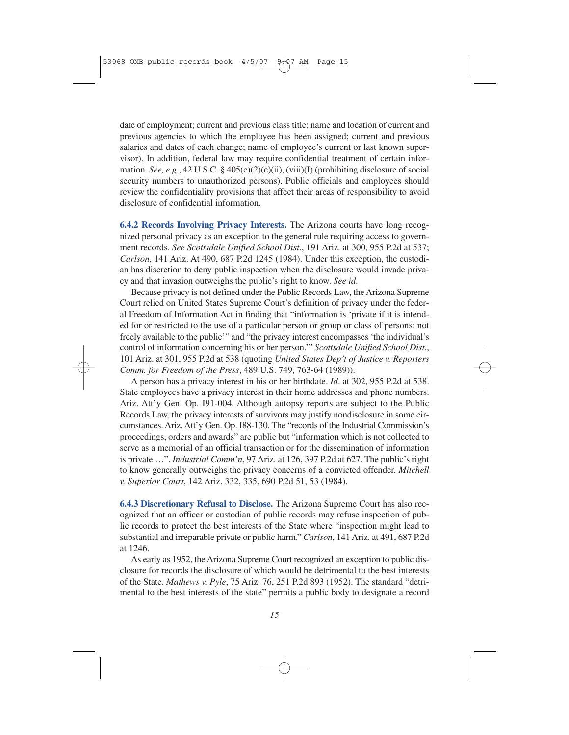date of employment; current and previous class title; name and location of current and previous agencies to which the employee has been assigned; current and previous salaries and dates of each change; name of employee's current or last known supervisor). In addition, federal law may require confidential treatment of certain information. *See, e.g*., 42 U.S.C. § 405(c)(2)(c)(ii), (viii)(I) (prohibiting disclosure of social security numbers to unauthorized persons). Public officials and employees should review the confidentiality provisions that affect their areas of responsibility to avoid disclosure of confidential information.

**6.4.2 Records Involving Privacy Interests.** The Arizona courts have long recognized personal privacy as an exception to the general rule requiring access to government records. *See Scottsdale Unified School Dist*., 191 Ariz. at 300, 955 P.2d at 537; *Carlson*, 141 Ariz. At 490, 687 P.2d 1245 (1984). Under this exception, the custodian has discretion to deny public inspection when the disclosure would invade privacy and that invasion outweighs the public's right to know. *See id*.

Because privacy is not defined under the Public Records Law, the Arizona Supreme Court relied on United States Supreme Court's definition of privacy under the federal Freedom of Information Act in finding that "information is 'private if it is intended for or restricted to the use of a particular person or group or class of persons: not freely available to the public'" and "the privacy interest encompasses 'the individual's control of information concerning his or her person.'" *Scottsdale Unified School Dist*., 101 Ariz. at 301, 955 P.2d at 538 (quoting *United States Dep't of Justice v. Reporters Comm. for Freedom of the Press*, 489 U.S. 749, 763-64 (1989)).

A person has a privacy interest in his or her birthdate. *Id*. at 302, 955 P.2d at 538. State employees have a privacy interest in their home addresses and phone numbers. Ariz. Att'y Gen. Op. I91-004. Although autopsy reports are subject to the Public Records Law, the privacy interests of survivors may justify nondisclosure in some circumstances. Ariz. Att'y Gen. Op. I88-130. The "records of the Industrial Commission's proceedings, orders and awards" are public but "information which is not collected to serve as a memorial of an official transaction or for the dissemination of information is private …". *Industrial Comm'n*, 97 Ariz. at 126, 397 P.2d at 627. The public's right to know generally outweighs the privacy concerns of a convicted offender. *Mitchell v. Superior Court*, 142 Ariz. 332, 335, 690 P.2d 51, 53 (1984).

**6.4.3 Discretionary Refusal to Disclose.** The Arizona Supreme Court has also recognized that an officer or custodian of public records may refuse inspection of public records to protect the best interests of the State where "inspection might lead to substantial and irreparable private or public harm." *Carlson*, 141 Ariz. at 491, 687 P.2d at 1246.

As early as 1952, the Arizona Supreme Court recognized an exception to public disclosure for records the disclosure of which would be detrimental to the best interests of the State. *Mathews v. Pyle*, 75 Ariz. 76, 251 P.2d 893 (1952). The standard "detrimental to the best interests of the state" permits a public body to designate a record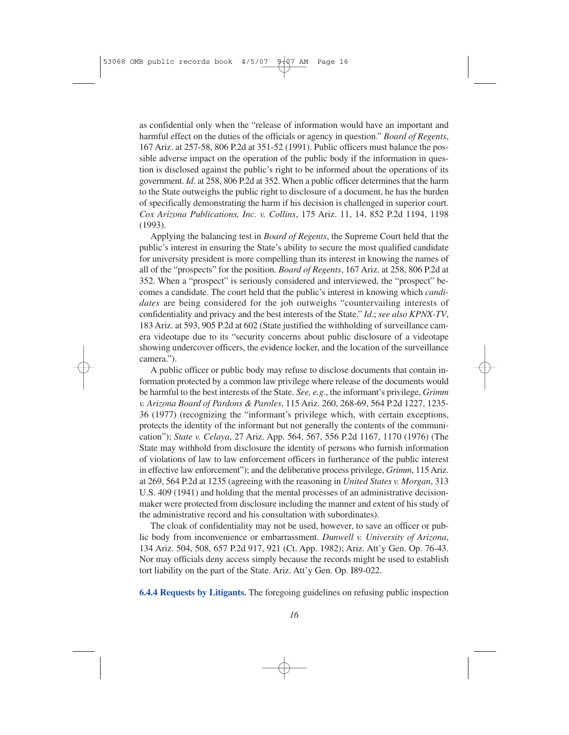as confidential only when the "release of information would have an important and harmful effect on the duties of the officials or agency in question." *Board of Regents*, 167 Ariz. at 257-58, 806 P.2d at 351-52 (1991). Public officers must balance the possible adverse impact on the operation of the public body if the information in question is disclosed against the public's right to be informed about the operations of its government. *Id*. at 258, 806 P.2d at 352. When a public officer determines that the harm to the State outweighs the public right to disclosure of a document, he has the burden of specifically demonstrating the harm if his decision is challenged in superior court. *Cox Arizona Publications, Inc. v. Collins*, 175 Ariz. 11, 14, 852 P.2d 1194, 1198 (1993).

Applying the balancing test in *Board of Regents*, the Supreme Court held that the public's interest in ensuring the State's ability to secure the most qualified candidate for university president is more compelling than its interest in knowing the names of all of the "prospects" for the position. *Board of Regents*, 167 Ariz. at 258, 806 P.2d at 352. When a "prospect" is seriously considered and interviewed, the "prospect" becomes a candidate. The court held that the public's interest in knowing which *candidates* are being considered for the job outweighs "countervailing interests of confidentiality and privacy and the best interests of the State." *Id*.; *see also KPNX-TV*, 183 Ariz. at 593, 905 P.2d at 602 (State justified the withholding of surveillance camera videotape due to its "security concerns about public disclosure of a videotape showing undercover officers, the evidence locker, and the location of the surveillance camera.").

A public officer or public body may refuse to disclose documents that contain information protected by a common law privilege where release of the documents would be harmful to the best interests of the State. *See, e.g*., the informant's privilege, *Grimm v. Arizona Board of Pardons & Paroles*, 115 Ariz. 260, 268-69, 564 P.2d 1227, 1235- 36 (1977) (recognizing the "informant's privilege which, with certain exceptions, protects the identity of the informant but not generally the contents of the communication"); *State v. Celaya*, 27 Ariz. App. 564, 567, 556 P.2d 1167, 1170 (1976) (The State may withhold from disclosure the identity of persons who furnish information of violations of law to law enforcement officers in furtherance of the public interest in effective law enforcement"); and the deliberative process privilege, *Grimm*, 115 Ariz. at 269, 564 P.2d at 1235 (agreeing with the reasoning in *United States v. Morgan*, 313 U.S. 409 (1941) and holding that the mental processes of an administrative decisionmaker were protected from disclosure including the manner and extent of his study of the administrative record and his consultation with subordinates).

The cloak of confidentiality may not be used, however, to save an officer or public body from inconvenience or embarrassment. *Dunwell v. University of Arizona*, 134 Ariz. 504, 508, 657 P.2d 917, 921 (Ct. App. 1982); Ariz. Att'y Gen. Op. 76-43. Nor may officials deny access simply because the records might be used to establish tort liability on the part of the State. Ariz. Att'y Gen. Op. I89-022.

**6.4.4 Requests by Litigants.** The foregoing guidelines on refusing public inspection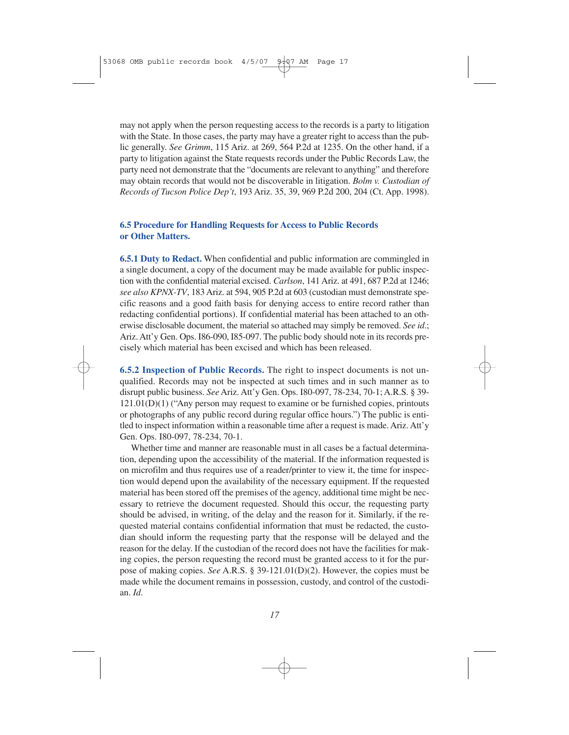may not apply when the person requesting access to the records is a party to litigation with the State. In those cases, the party may have a greater right to access than the public generally. *See Grimm*, 115 Ariz. at 269, 564 P.2d at 1235. On the other hand, if a party to litigation against the State requests records under the Public Records Law, the party need not demonstrate that the "documents are relevant to anything" and therefore may obtain records that would not be discoverable in litigation. *Bolm v. Custodian of Records of Tucson Police Dep't*, 193 Ariz. 35, 39, 969 P.2d 200, 204 (Ct. App. 1998).

## **6.5 Procedure for Handling Requests for Access to Public Records or Other Matters.**

**6.5.1 Duty to Redact.** When confidential and public information are commingled in a single document, a copy of the document may be made available for public inspection with the confidential material excised. *Carlson*, 141 Ariz. at 491, 687 P.2d at 1246; *see also KPNX-TV*, 183 Ariz. at 594, 905 P.2d at 603 (custodian must demonstrate specific reasons and a good faith basis for denying access to entire record rather than redacting confidential portions). If confidential material has been attached to an otherwise disclosable document, the material so attached may simply be removed. *See id*.; Ariz. Att'y Gen. Ops. I86-090, I85-097. The public body should note in its records precisely which material has been excised and which has been released.

**6.5.2 Inspection of Public Records.** The right to inspect documents is not unqualified. Records may not be inspected at such times and in such manner as to disrupt public business. *See* Ariz. Att'y Gen. Ops. I80-097, 78-234, 70-1; A.R.S. § 39-  $121.01(D)(1)$  ("Any person may request to examine or be furnished copies, printouts or photographs of any public record during regular office hours.") The public is entitled to inspect information within a reasonable time after a request is made. Ariz. Att'y Gen. Ops. I80-097, 78-234, 70-1.

Whether time and manner are reasonable must in all cases be a factual determination, depending upon the accessibility of the material. If the information requested is on microfilm and thus requires use of a reader/printer to view it, the time for inspection would depend upon the availability of the necessary equipment. If the requested material has been stored off the premises of the agency, additional time might be necessary to retrieve the document requested. Should this occur, the requesting party should be advised, in writing, of the delay and the reason for it. Similarly, if the requested material contains confidential information that must be redacted, the custodian should inform the requesting party that the response will be delayed and the reason for the delay. If the custodian of the record does not have the facilities for making copies, the person requesting the record must be granted access to it for the purpose of making copies. *See* A.R.S. § 39-121.01(D)(2). However, the copies must be made while the document remains in possession, custody, and control of the custodian. *Id*.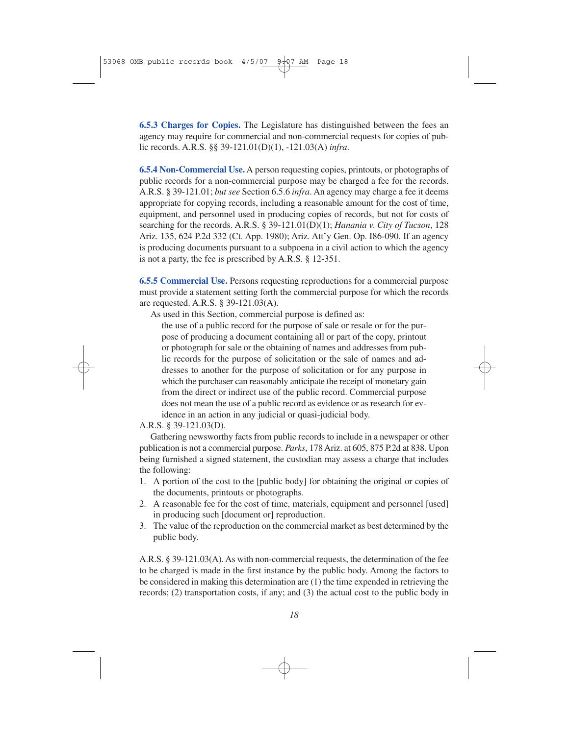**6.5.3 Charges for Copies.** The Legislature has distinguished between the fees an agency may require for commercial and non-commercial requests for copies of public records. A.R.S. §§ 39-121.01(D)(1), -121.03(A) *infra*.

**6.5.4 Non-Commercial Use.** A person requesting copies, printouts, or photographs of public records for a non-commercial purpose may be charged a fee for the records. A.R.S. § 39-121.01; *but see* Section 6.5.6 *infra*. An agency may charge a fee it deems appropriate for copying records, including a reasonable amount for the cost of time, equipment, and personnel used in producing copies of records, but not for costs of searching for the records. A.R.S. § 39-121.01(D)(1); *Hanania v. City of Tucson*, 128 Ariz. 135, 624 P.2d 332 (Ct. App. 1980); Ariz. Att'y Gen. Op. I86-090. If an agency is producing documents pursuant to a subpoena in a civil action to which the agency is not a party, the fee is prescribed by A.R.S. § 12-351.

**6.5.5 Commercial Use.** Persons requesting reproductions for a commercial purpose must provide a statement setting forth the commercial purpose for which the records are requested. A.R.S. § 39-121.03(A).

As used in this Section, commercial purpose is defined as:

the use of a public record for the purpose of sale or resale or for the purpose of producing a document containing all or part of the copy, printout or photograph for sale or the obtaining of names and addresses from public records for the purpose of solicitation or the sale of names and addresses to another for the purpose of solicitation or for any purpose in which the purchaser can reasonably anticipate the receipt of monetary gain from the direct or indirect use of the public record. Commercial purpose does not mean the use of a public record as evidence or as research for evidence in an action in any judicial or quasi-judicial body.

A.R.S. § 39-121.03(D).

Gathering newsworthy facts from public records to include in a newspaper or other publication is not a commercial purpose. *Parks*, 178 Ariz. at 605, 875 P.2d at 838. Upon being furnished a signed statement, the custodian may assess a charge that includes the following:

- 1. A portion of the cost to the [public body] for obtaining the original or copies of the documents, printouts or photographs.
- 2. A reasonable fee for the cost of time, materials, equipment and personnel [used] in producing such [document or] reproduction.
- 3. The value of the reproduction on the commercial market as best determined by the public body.

A.R.S. § 39-121.03(A). As with non-commercial requests, the determination of the fee to be charged is made in the first instance by the public body. Among the factors to be considered in making this determination are (1) the time expended in retrieving the records; (2) transportation costs, if any; and (3) the actual cost to the public body in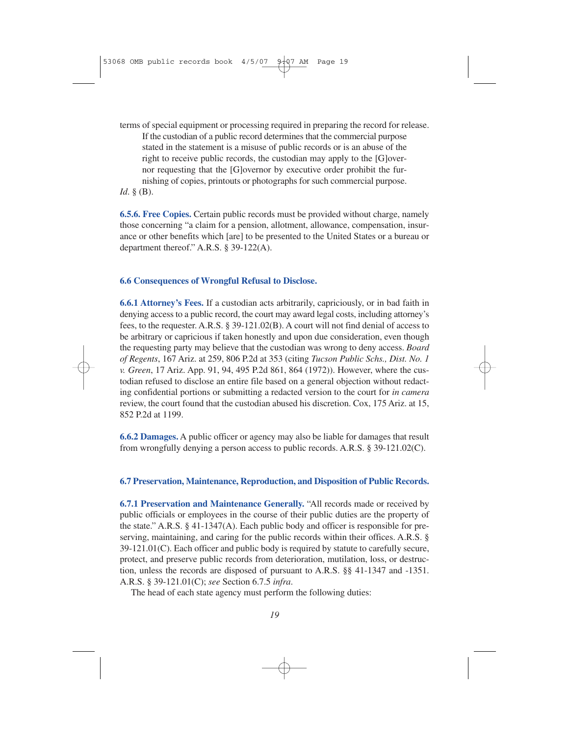terms of special equipment or processing required in preparing the record for release. If the custodian of a public record determines that the commercial purpose stated in the statement is a misuse of public records or is an abuse of the right to receive public records, the custodian may apply to the [G]overnor requesting that the [G]overnor by executive order prohibit the furnishing of copies, printouts or photographs for such commercial purpose.

*Id*. § (B).

**6.5.6. Free Copies.** Certain public records must be provided without charge, namely those concerning "a claim for a pension, allotment, allowance, compensation, insurance or other benefits which [are] to be presented to the United States or a bureau or department thereof." A.R.S. § 39-122(A).

### **6.6 Consequences of Wrongful Refusal to Disclose.**

**6.6.1 Attorney's Fees.** If a custodian acts arbitrarily, capriciously, or in bad faith in denying access to a public record, the court may award legal costs, including attorney's fees, to the requester. A.R.S. § 39-121.02(B). A court will not find denial of access to be arbitrary or capricious if taken honestly and upon due consideration, even though the requesting party may believe that the custodian was wrong to deny access. *Board of Regents*, 167 Ariz. at 259, 806 P.2d at 353 (citing *Tucson Public Schs., Dist. No. 1 v. Green*, 17 Ariz. App. 91, 94, 495 P.2d 861, 864 (1972)). However, where the custodian refused to disclose an entire file based on a general objection without redacting confidential portions or submitting a redacted version to the court for *in camera* review, the court found that the custodian abused his discretion. Cox, 175 Ariz. at 15, 852 P.2d at 1199.

**6.6.2 Damages.** A public officer or agency may also be liable for damages that result from wrongfully denying a person access to public records. A.R.S. § 39-121.02(C).

### **6.7 Preservation, Maintenance, Reproduction, and Disposition of Public Records.**

**6.7.1 Preservation and Maintenance Generally.** "All records made or received by public officials or employees in the course of their public duties are the property of the state." A.R.S. § 41-1347(A). Each public body and officer is responsible for preserving, maintaining, and caring for the public records within their offices. A.R.S. § 39-121.01(C). Each officer and public body is required by statute to carefully secure, protect, and preserve public records from deterioration, mutilation, loss, or destruction, unless the records are disposed of pursuant to A.R.S. §§ 41-1347 and -1351. A.R.S. § 39-121.01(C); *see* Section 6.7.5 *infra*.

The head of each state agency must perform the following duties: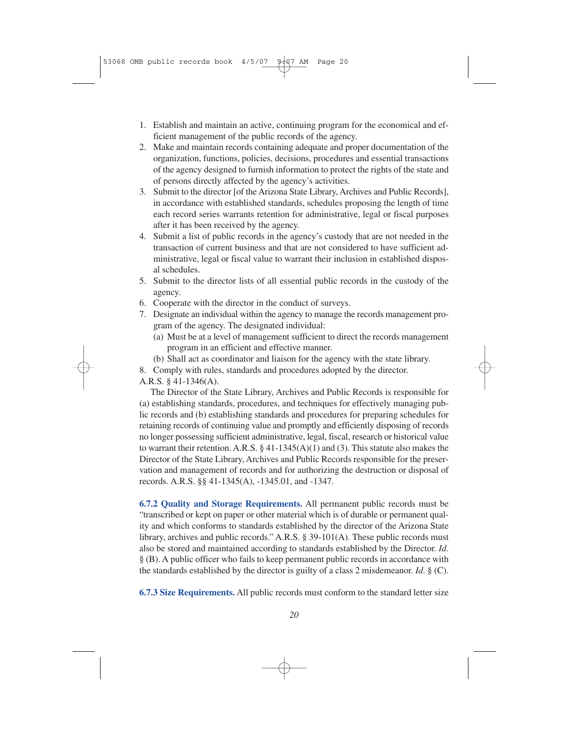- 1. Establish and maintain an active, continuing program for the economical and efficient management of the public records of the agency.
- 2. Make and maintain records containing adequate and proper documentation of the organization, functions, policies, decisions, procedures and essential transactions of the agency designed to furnish information to protect the rights of the state and of persons directly affected by the agency's activities.
- 3. Submit to the director [of the Arizona State Library, Archives and Public Records], in accordance with established standards, schedules proposing the length of time each record series warrants retention for administrative, legal or fiscal purposes after it has been received by the agency.
- 4. Submit a list of public records in the agency's custody that are not needed in the transaction of current business and that are not considered to have sufficient administrative, legal or fiscal value to warrant their inclusion in established disposal schedules.
- 5. Submit to the director lists of all essential public records in the custody of the agency.
- 6. Cooperate with the director in the conduct of surveys.
- 7. Designate an individual within the agency to manage the records management program of the agency. The designated individual:
	- (a) Must be at a level of management sufficient to direct the records management program in an efficient and effective manner.
	- (b) Shall act as coordinator and liaison for the agency with the state library.
- 8. Comply with rules, standards and procedures adopted by the director.

A.R.S. § 41-1346(A).

The Director of the State Library, Archives and Public Records is responsible for (a) establishing standards, procedures, and techniques for effectively managing public records and (b) establishing standards and procedures for preparing schedules for retaining records of continuing value and promptly and efficiently disposing of records no longer possessing sufficient administrative, legal, fiscal, research or historical value to warrant their retention. A.R.S.  $\S$  41-1345(A)(1) and (3). This statute also makes the Director of the State Library, Archives and Public Records responsible for the preservation and management of records and for authorizing the destruction or disposal of records. A.R.S. §§ 41-1345(A), -1345.01, and -1347.

**6.7.2 Quality and Storage Requirements.** All permanent public records must be "transcribed or kept on paper or other material which is of durable or permanent quality and which conforms to standards established by the director of the Arizona State library, archives and public records." A.R.S. § 39-101(A). These public records must also be stored and maintained according to standards established by the Director. *Id*. § (B). A public officer who fails to keep permanent public records in accordance with the standards established by the director is guilty of a class 2 misdemeanor. *Id*. § (C).

**6.7.3 Size Requirements.** All public records must conform to the standard letter size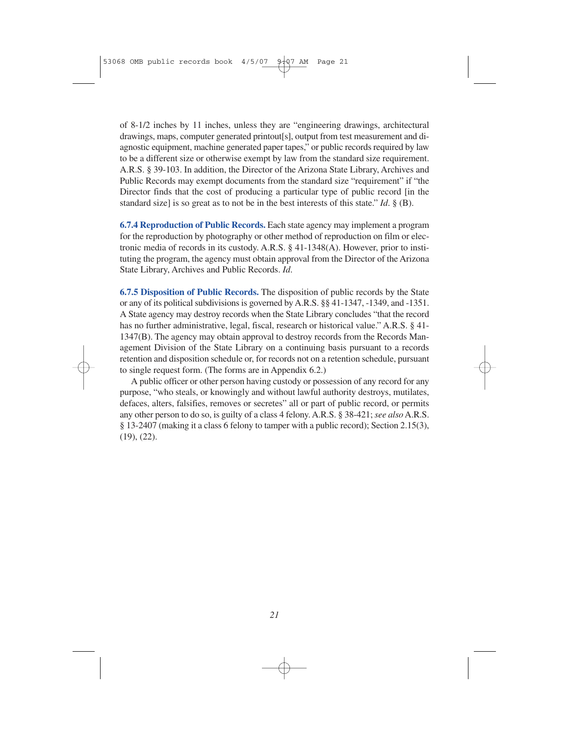of 8-1/2 inches by 11 inches, unless they are "engineering drawings, architectural drawings, maps, computer generated printout[s], output from test measurement and diagnostic equipment, machine generated paper tapes," or public records required by law to be a different size or otherwise exempt by law from the standard size requirement. A.R.S. § 39-103. In addition, the Director of the Arizona State Library, Archives and Public Records may exempt documents from the standard size "requirement" if "the Director finds that the cost of producing a particular type of public record [in the standard size] is so great as to not be in the best interests of this state." *Id*. § (B).

**6.7.4 Reproduction of Public Records.** Each state agency may implement a program for the reproduction by photography or other method of reproduction on film or electronic media of records in its custody. A.R.S. § 41-1348(A). However, prior to instituting the program, the agency must obtain approval from the Director of the Arizona State Library, Archives and Public Records. *Id*.

**6.7.5 Disposition of Public Records.** The disposition of public records by the State or any of its political subdivisions is governed by A.R.S. §§ 41-1347, -1349, and -1351. A State agency may destroy records when the State Library concludes "that the record has no further administrative, legal, fiscal, research or historical value." A.R.S. § 41- 1347(B). The agency may obtain approval to destroy records from the Records Management Division of the State Library on a continuing basis pursuant to a records retention and disposition schedule or, for records not on a retention schedule, pursuant to single request form. (The forms are in Appendix 6.2.)

A public officer or other person having custody or possession of any record for any purpose, "who steals, or knowingly and without lawful authority destroys, mutilates, defaces, alters, falsifies, removes or secretes" all or part of public record, or permits any other person to do so, is guilty of a class 4 felony. A.R.S. § 38-421; *see also* A.R.S. § 13-2407 (making it a class 6 felony to tamper with a public record); Section 2.15(3), (19), (22).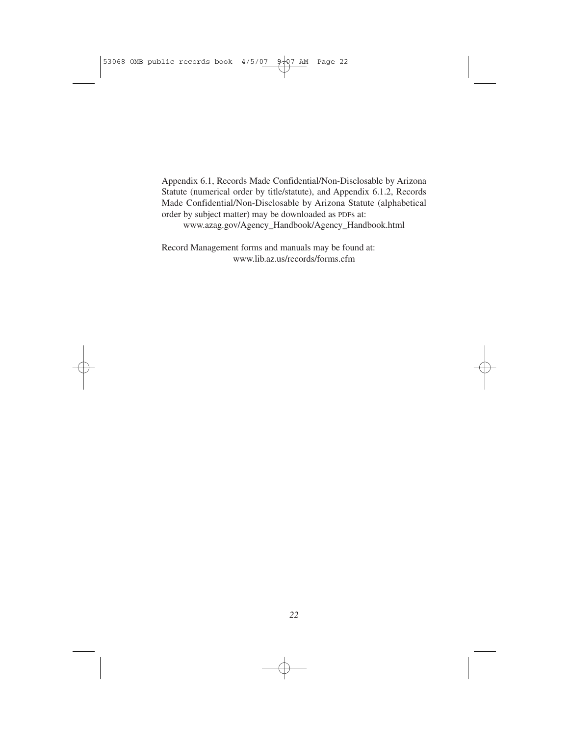Appendix 6.1, Records Made Confidential/Non-Disclosable by Arizona Statute (numerical order by title/statute), and Appendix 6.1.2, Records Made Confidential/Non-Disclosable by Arizona Statute (alphabetical order by subject matter) may be downloaded as PDFs at:

www.azag.gov/Agency\_Handbook/Agency\_Handbook.html

Record Management forms and manuals may be found at: www.lib.az.us/records/forms.cfm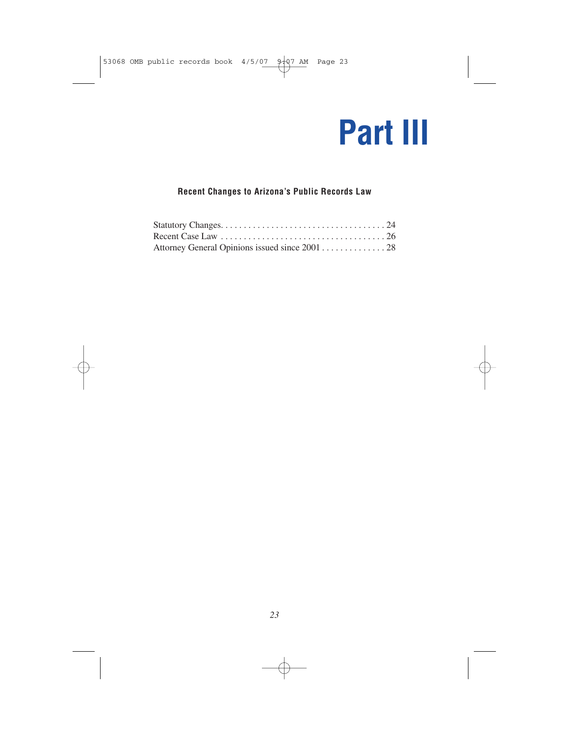## **Part III**

## **Recent Changes to Arizona's Public Records Law**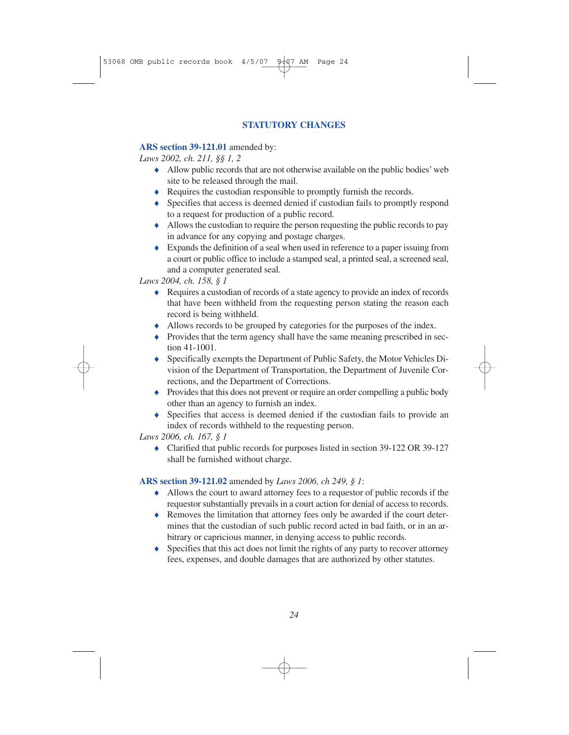## **STATUTORY CHANGES**

## **ARS section 39-121.01** amended by:

*Laws 2002, ch. 211, §§ 1, 2*

- ♦ Allow public records that are not otherwise available on the public bodies' web site to be released through the mail.
- ♦ Requires the custodian responsible to promptly furnish the records.
- ♦ Specifies that access is deemed denied if custodian fails to promptly respond to a request for production of a public record.
- ♦ Allows the custodian to require the person requesting the public records to pay in advance for any copying and postage charges.
- ♦ Expands the definition of a seal when used in reference to a paper issuing from a court or public office to include a stamped seal, a printed seal, a screened seal, and a computer generated seal.

*Laws 2004, ch. 158, § 1*

- ♦ Requires a custodian of records of a state agency to provide an index of records that have been withheld from the requesting person stating the reason each record is being withheld.
- ♦ Allows records to be grouped by categories for the purposes of the index.
- ♦ Provides that the term agency shall have the same meaning prescribed in section 41-1001.
- ♦ Specifically exempts the Department of Public Safety, the Motor Vehicles Division of the Department of Transportation, the Department of Juvenile Corrections, and the Department of Corrections.
- ♦ Provides that this does not prevent or require an order compelling a public body other than an agency to furnish an index.
- ♦ Specifies that access is deemed denied if the custodian fails to provide an index of records withheld to the requesting person.

*Laws 2006, ch. 167, § 1*

♦ Clarified that public records for purposes listed in section 39-122 OR 39-127 shall be furnished without charge.

## **ARS section 39-121.02** amended by *Laws 2006, ch 249, § 1*:

- ♦ Allows the court to award attorney fees to a requestor of public records if the requestor substantially prevails in a court action for denial of access to records.
- ♦ Removes the limitation that attorney fees only be awarded if the court determines that the custodian of such public record acted in bad faith, or in an arbitrary or capricious manner, in denying access to public records.
- ♦ Specifies that this act does not limit the rights of any party to recover attorney fees, expenses, and double damages that are authorized by other statutes.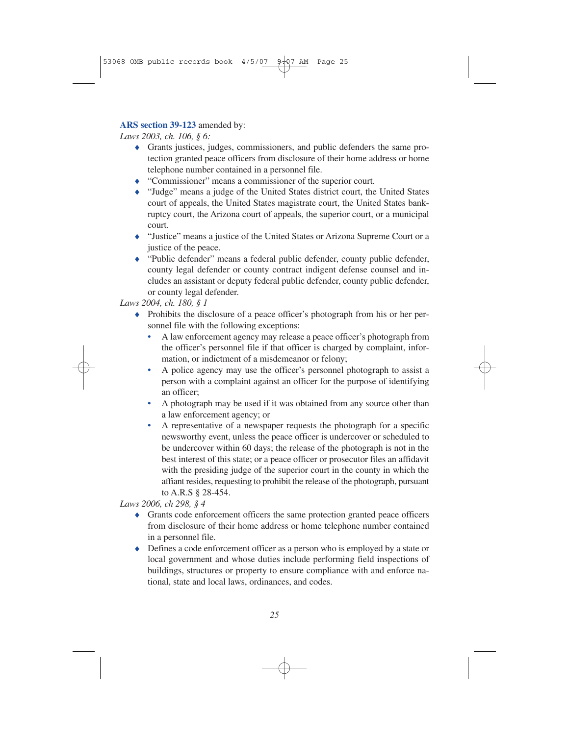## **ARS section 39-123** amended by:

*Laws 2003, ch. 106, § 6:*

- ♦ Grants justices, judges, commissioners, and public defenders the same protection granted peace officers from disclosure of their home address or home telephone number contained in a personnel file.
- ♦ "Commissioner" means a commissioner of the superior court.
- ♦ "Judge" means a judge of the United States district court, the United States court of appeals, the United States magistrate court, the United States bankruptcy court, the Arizona court of appeals, the superior court, or a municipal court.
- ♦ "Justice" means a justice of the United States or Arizona Supreme Court or a justice of the peace.
- ♦ "Public defender" means a federal public defender, county public defender, county legal defender or county contract indigent defense counsel and includes an assistant or deputy federal public defender, county public defender, or county legal defender.

## *Laws 2004, ch. 180, § 1*

- ♦ Prohibits the disclosure of a peace officer's photograph from his or her personnel file with the following exceptions:
	- A law enforcement agency may release a peace officer's photograph from the officer's personnel file if that officer is charged by complaint, information, or indictment of a misdemeanor or felony;
	- A police agency may use the officer's personnel photograph to assist a person with a complaint against an officer for the purpose of identifying an officer;
	- A photograph may be used if it was obtained from any source other than a law enforcement agency; or
	- A representative of a newspaper requests the photograph for a specific newsworthy event, unless the peace officer is undercover or scheduled to be undercover within 60 days; the release of the photograph is not in the best interest of this state; or a peace officer or prosecutor files an affidavit with the presiding judge of the superior court in the county in which the affiant resides, requesting to prohibit the release of the photograph, pursuant to A.R.S § 28-454.

## *Laws 2006, ch 298, § 4*

- ♦ Grants code enforcement officers the same protection granted peace officers from disclosure of their home address or home telephone number contained in a personnel file.
- ♦ Defines a code enforcement officer as a person who is employed by a state or local government and whose duties include performing field inspections of buildings, structures or property to ensure compliance with and enforce national, state and local laws, ordinances, and codes.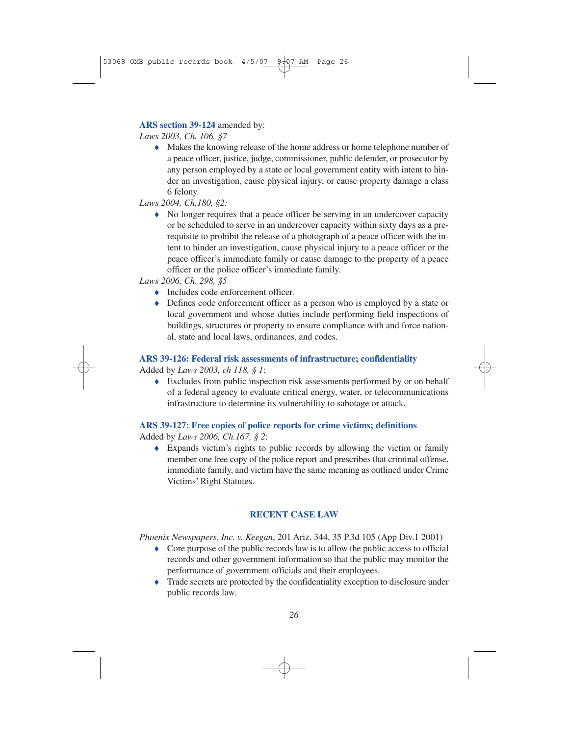### **ARS section 39-124** amended by:

*Laws 2003, Ch. 106, §7*

♦ Makes the knowing release of the home address or home telephone number of a peace officer, justice, judge, commissioner, public defender, or prosecutor by any person employed by a state or local government entity with intent to hinder an investigation, cause physical injury, or cause property damage a class 6 felony.

*Laws 2004, Ch.180, §2:*

♦ No longer requires that a peace officer be serving in an undercover capacity or be scheduled to serve in an undercover capacity within sixty days as a prerequisite to prohibit the release of a photograph of a peace officer with the intent to hinder an investigation, cause physical injury to a peace officer or the peace officer's immediate family or cause damage to the property of a peace officer or the police officer's immediate family.

*Laws 2006, Ch. 298, §5*

- ◆ Includes code enforcement officer.
- ♦ Defines code enforcement officer as a person who is employed by a state or local government and whose duties include performing field inspections of buildings, structures or property to ensure compliance with and force national, state and local laws, ordinances, and codes.

## **ARS 39-126: Federal risk assessments of infrastructure; confidentiality**

Added by *Laws 2003, ch 118, § 1*:

♦ Excludes from public inspection risk assessments performed by or on behalf of a federal agency to evaluate critical energy, water, or telecommunications infrastructure to determine its vulnerability to sabotage or attack.

## **ARS 39-127: Free copies of police reports for crime victims; definitions**

Added by *Laws 2006, Ch.167, § 2*:

♦ Expands victim's rights to public records by allowing the victim or family member one free copy of the police report and prescribes that criminal offense, immediate family, and victim have the same meaning as outlined under Crime Victims' Right Statutes.

## **RECENT CASE LAW**

*Phoenix Newspapers, Inc. v. Keegan*, 201 Ariz. 344, 35 P.3d 105 (App Div.1 2001)

- ♦ Core purpose of the public records law is to allow the public access to official records and other government information so that the public may monitor the performance of government officials and their employees.
- ♦ Trade secrets are protected by the confidentiality exception to disclosure under public records law.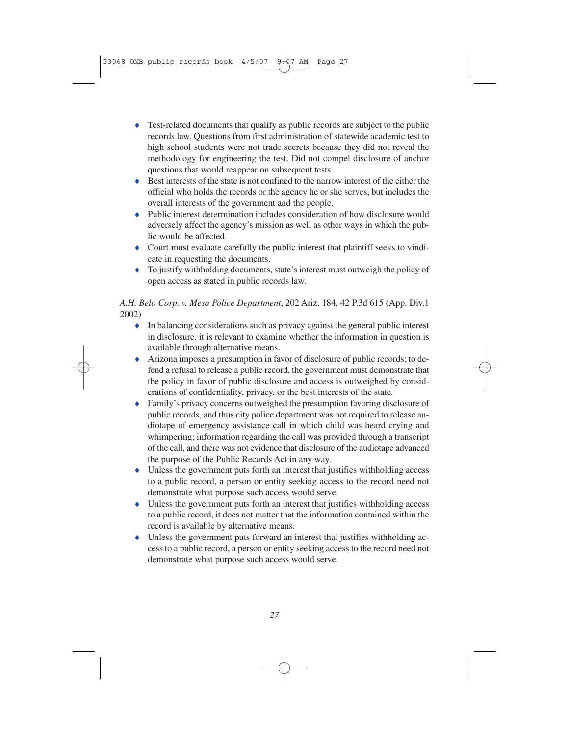- ♦ Test-related documents that qualify as public records are subject to the public records law. Questions from first administration of statewide academic test to high school students were not trade secrets because they did not reveal the methodology for engineering the test. Did not compel disclosure of anchor questions that would reappear on subsequent tests.
- ♦ Best interests of the state is not confined to the narrow interest of the either the official who holds the records or the agency he or she serves, but includes the overall interests of the government and the people.
- ♦ Public interest determination includes consideration of how disclosure would adversely affect the agency's mission as well as other ways in which the public would be affected.
- ♦ Court must evaluate carefully the public interest that plaintiff seeks to vindicate in requesting the documents.
- ♦ To justify withholding documents, state's interest must outweigh the policy of open access as stated in public records law.

## *A.H. Belo Corp. v. Mesa Police Department*, 202 Ariz. 184, 42 P.3d 615 (App. Div.1 2002)

- ♦ In balancing considerations such as privacy against the general public interest in disclosure, it is relevant to examine whether the information in question is available through alternative means.
- ♦ Arizona imposes a presumption in favor of disclosure of public records; to defend a refusal to release a public record, the government must demonstrate that the policy in favor of public disclosure and access is outweighed by considerations of confidentiality, privacy, or the best interests of the state.
- ♦ Family's privacy concerns outweighed the presumption favoring disclosure of public records, and thus city police department was not required to release audiotape of emergency assistance call in which child was heard crying and whimpering; information regarding the call was provided through a transcript of the call, and there was not evidence that disclosure of the audiotape advanced the purpose of the Public Records Act in any way.
- ♦ Unless the government puts forth an interest that justifies withholding access to a public record, a person or entity seeking access to the record need not demonstrate what purpose such access would serve.
- ♦ Unless the government puts forth an interest that justifies withholding access to a public record, it does not matter that the information contained within the record is available by alternative means.
- ♦ Unless the government puts forward an interest that justifies withholding access to a public record, a person or entity seeking access to the record need not demonstrate what purpose such access would serve.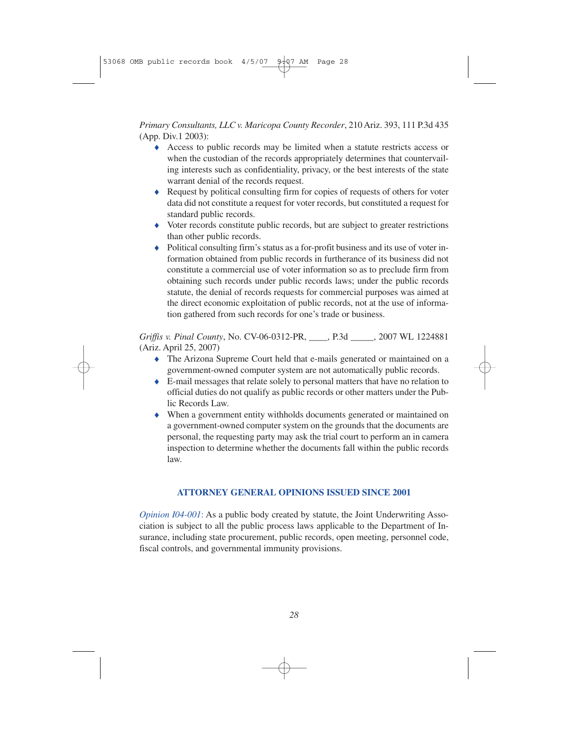*Primary Consultants, LLC v. Maricopa County Recorder*, 210 Ariz. 393, 111 P.3d 435 (App. Div.1 2003):

- ♦ Access to public records may be limited when a statute restricts access or when the custodian of the records appropriately determines that countervailing interests such as confidentiality, privacy, or the best interests of the state warrant denial of the records request.
- ♦ Request by political consulting firm for copies of requests of others for voter data did not constitute a request for voter records, but constituted a request for standard public records.
- ♦ Voter records constitute public records, but are subject to greater restrictions than other public records.
- ♦ Political consulting firm's status as a for-profit business and its use of voter information obtained from public records in furtherance of its business did not constitute a commercial use of voter information so as to preclude firm from obtaining such records under public records laws; under the public records statute, the denial of records requests for commercial purposes was aimed at the direct economic exploitation of public records, not at the use of information gathered from such records for one's trade or business.

*Griffis v. Pinal County*, No. CV-06-0312-PR, \_\_\_\_, P.3d \_\_\_\_\_, 2007 WL 1224881 (Ariz. April 25, 2007)

- ♦ The Arizona Supreme Court held that e-mails generated or maintained on a government-owned computer system are not automatically public records.
- ♦ E-mail messages that relate solely to personal matters that have no relation to official duties do not qualify as public records or other matters under the Public Records Law.
- ♦ When a government entity withholds documents generated or maintained on a government-owned computer system on the grounds that the documents are personal, the requesting party may ask the trial court to perform an in camera inspection to determine whether the documents fall within the public records law.

## **ATTORNEY GENERAL OPINIONS ISSUED SINCE 2001**

*Opinion I04-001*: As a public body created by statute, the Joint Underwriting Association is subject to all the public process laws applicable to the Department of Insurance, including state procurement, public records, open meeting, personnel code, fiscal controls, and governmental immunity provisions.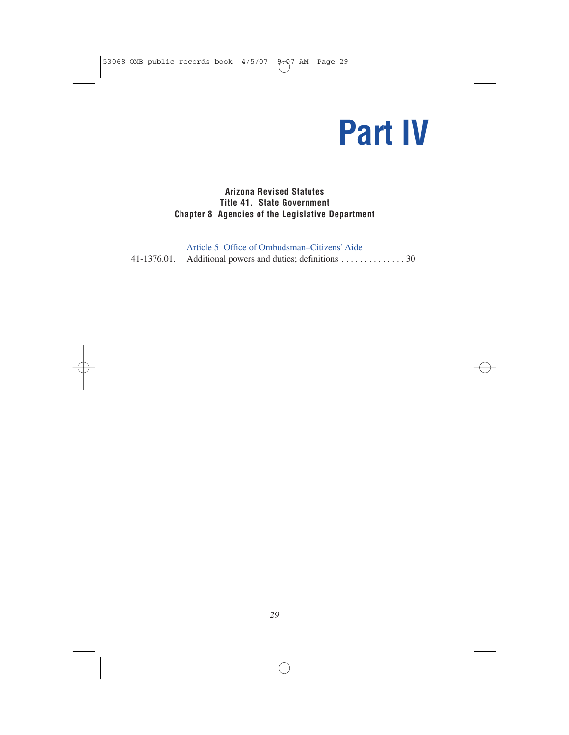# **Part IV**

## **Arizona Revised Statutes Title 41. State Government Chapter 8 Agencies of the Legislative Department**

| Article 5 Office of Ombudsman–Citizens' Aide             |
|----------------------------------------------------------|
| 41-1376.01. Additional powers and duties; definitions 30 |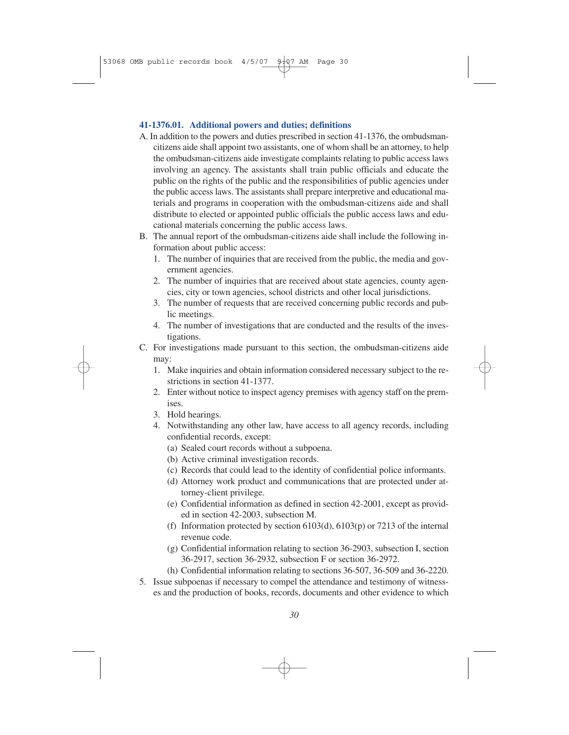### **41-1376.01. Additional powers and duties; definitions**

- A. In addition to the powers and duties prescribed in section 41-1376, the ombudsmancitizens aide shall appoint two assistants, one of whom shall be an attorney, to help the ombudsman-citizens aide investigate complaints relating to public access laws involving an agency. The assistants shall train public officials and educate the public on the rights of the public and the responsibilities of public agencies under the public access laws. The assistants shall prepare interpretive and educational materials and programs in cooperation with the ombudsman-citizens aide and shall distribute to elected or appointed public officials the public access laws and educational materials concerning the public access laws.
- B. The annual report of the ombudsman-citizens aide shall include the following information about public access:
	- 1. The number of inquiries that are received from the public, the media and government agencies.
	- 2. The number of inquiries that are received about state agencies, county agencies, city or town agencies, school districts and other local jurisdictions.
	- 3. The number of requests that are received concerning public records and public meetings.
	- 4. The number of investigations that are conducted and the results of the investigations.
- C. For investigations made pursuant to this section, the ombudsman-citizens aide may:
	- 1. Make inquiries and obtain information considered necessary subject to the restrictions in section 41-1377.
	- 2. Enter without notice to inspect agency premises with agency staff on the premises.
	- 3. Hold hearings.
	- 4. Notwithstanding any other law, have access to all agency records, including confidential records, except:
		- (a) Sealed court records without a subpoena.
		- (b) Active criminal investigation records.
		- (c) Records that could lead to the identity of confidential police informants.
		- (d) Attorney work product and communications that are protected under attorney-client privilege.
		- (e) Confidential information as defined in section 42-2001, except as provided in section 42-2003, subsection M.
		- (f) Information protected by section 6103(d), 6103(p) or 7213 of the internal revenue code.
		- (g) Confidential information relating to section 36-2903, subsection I, section 36-2917, section 36-2932, subsection F or section 36-2972.
		- (h) Confidential information relating to sections 36-507, 36-509 and 36-2220.
- 5. Issue subpoenas if necessary to compel the attendance and testimony of witnesses and the production of books, records, documents and other evidence to which